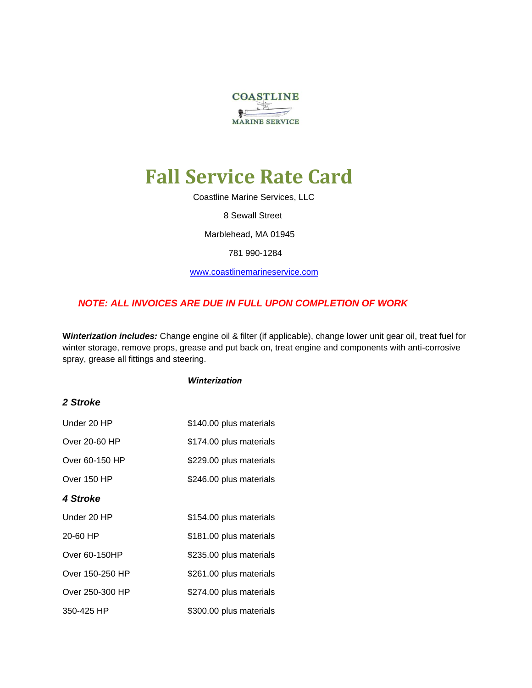

# **Fall Service Rate Card**

Coastline Marine Services, LLC

8 Sewall Street

Marblehead, MA 01945

781 990-1284

[www.coastlinemarineservice.com](http://www.coastlinemarineservice.com/)

#### *NOTE: ALL INVOICES ARE DUE IN FULL UPON COMPLETION OF WORK*

**W***interization includes:* Change engine oil & filter (if applicable), change lower unit gear oil, treat fuel for winter storage, remove props, grease and put back on, treat engine and components with anti-corrosive spray, grease all fittings and steering.

#### *Winterization*

#### *2 Stroke*

| Under 20 HP     | \$140.00 plus materials |
|-----------------|-------------------------|
| Over 20-60 HP   | \$174.00 plus materials |
| Over 60-150 HP  | \$229.00 plus materials |
| Over 150 HP     | \$246.00 plus materials |
| 4 Stroke        |                         |
| Under 20 HP     | \$154.00 plus materials |
| 20-60 HP        | \$181.00 plus materials |
| Over 60-150HP   | \$235.00 plus materials |
| Over 150-250 HP | \$261.00 plus materials |
| Over 250-300 HP | \$274.00 plus materials |
| 350-425 HP      | \$300.00 plus materials |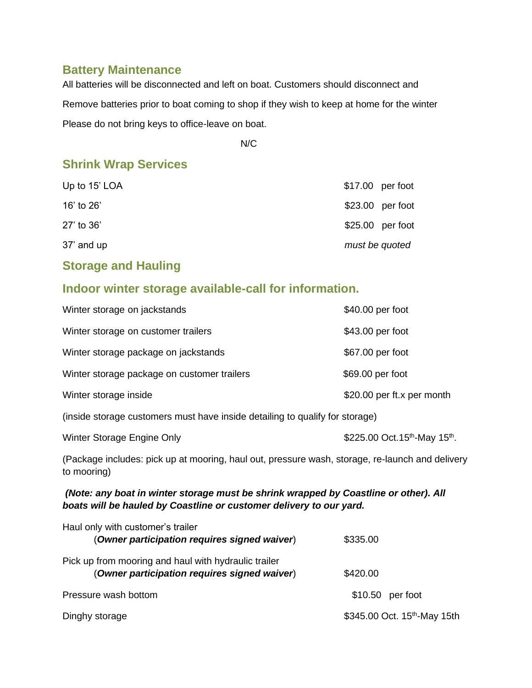#### **Battery Maintenance**

All batteries will be disconnected and left on boat. Customers should disconnect and Remove batteries prior to boat coming to shop if they wish to keep at home for the winter Please do not bring keys to office-leave on boat.

N/C N/C

## **Shrink Wrap Services**

| Up to 15' LOA |                | $$17.00$ per foot |
|---------------|----------------|-------------------|
| 16' to 26'    |                | $$23.00$ per foot |
| 27' to 36'    |                | $$25.00$ per foot |
| 37' and up    | must be quoted |                   |

### **Storage and Hauling**

## **Indoor winter storage available-call for information.**

| Winter storage on jackstands                                                 | \$40.00 per foot           |
|------------------------------------------------------------------------------|----------------------------|
| Winter storage on customer trailers                                          | \$43.00 per foot           |
| Winter storage package on jackstands                                         | \$67.00 per foot           |
| Winter storage package on customer trailers                                  | \$69.00 per foot           |
| Winter storage inside                                                        | \$20.00 per ft.x per month |
| (inside storage customers must have inside detailing to qualify for storage) |                            |

| Winter Storage Engine Only | \$225.00 Oct. 15 <sup>th</sup> -May 15 <sup>th</sup> . |
|----------------------------|--------------------------------------------------------|
|                            |                                                        |

(Package includes: pick up at mooring, haul out, pressure wash, storage, re-launch and delivery to mooring)

#### *(Note: any boat in winter storage must be shrink wrapped by Coastline or other). All boats will be hauled by Coastline or customer delivery to our yard.*

| Haul only with customer's trailer                    |                                          |
|------------------------------------------------------|------------------------------------------|
| (Owner participation requires signed waiver)         | \$335.00                                 |
| Pick up from mooring and haul with hydraulic trailer |                                          |
| (Owner participation requires signed waiver)         | \$420.00                                 |
| Pressure wash bottom                                 | $$10.50$ per foot                        |
| Dinghy storage                                       | \$345.00 Oct. 15 <sup>th</sup> -May 15th |